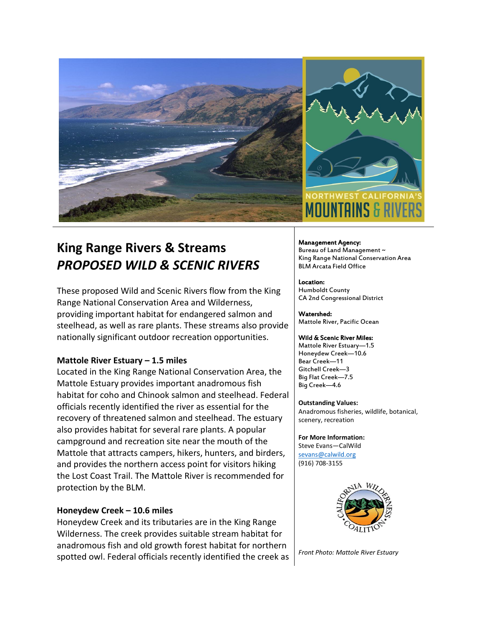

# **King Range Rivers & Streams** *PROPOSED WILD & SCENIC RIVERS*

These proposed Wild and Scenic Rivers flow from the King Range National Conservation Area and Wilderness, providing important habitat for endangered salmon and steelhead, as well as rare plants. These streams also provide nationally significant outdoor recreation opportunities.

#### **Mattole River Estuary – 1.5 miles**

Located in the King Range National Conservation Area, the Mattole Estuary provides important anadromous fish habitat for coho and Chinook salmon and steelhead. Federal officials recently identified the river as essential for the recovery of threatened salmon and steelhead. The estuary also provides habitat for several rare plants. A popular campground and recreation site near the mouth of the Mattole that attracts campers, hikers, hunters, and birders, and provides the northern access point for visitors hiking the Lost Coast Trail. The Mattole River is recommended for protection by the BLM.

#### **Honeydew Creek – 10.6 miles**

Honeydew Creek and its tributaries are in the King Range Wilderness. The creek provides suitable stream habitat for anadromous fish and old growth forest habitat for northern spotted owl. Federal officials recently identified the creek as

Management Agency: Bureau of Land Management ~ King Range National Conservation Area BLM Arcata Field Office

Location: Humboldt County CA 2nd Congressional District

Watershed: Mattole River, Pacific Ocean

#### Wild & Scenic River Miles:

Mattole River Estuary—1.5 Honeydew Creek—10.6 Bear Creek—11 Gitchell Creek—3 Big Flat Creek—7.5 Big Creek—4.6

**Outstanding Values:**

Anadromous fisheries, wildlife, botanical, scenery, recreation

**For More Information:** Steve Evans—CalWild [sevans@calwild.org](mailto:sevans@calwild.org) (916) 708-3155



*Front Photo: Mattole River Estuary*